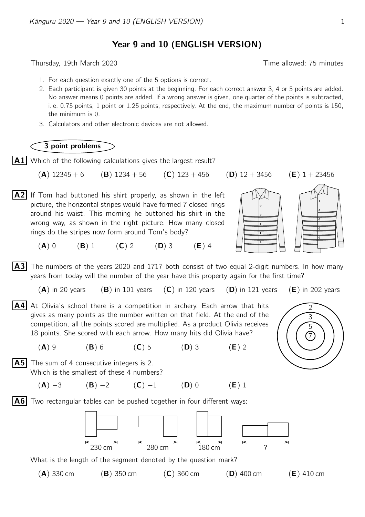Year 9 and 10 (ENGLISH VERSION)

Thursday, 19th March 2020 **Thursday**, 19th March 2020

- 1. For each question exactly one of the 5 options is correct.
- 2. Each participant is given 30 points at the beginning. For each correct answer 3, 4 or 5 points are added. No answer means 0 points are added. If a wrong answer is given, one quarter of the points is subtracted, i. e. 0.75 points, 1 point or 1.25 points, respectively. At the end, the maximum number of points is 150, the minimum is 0.
- 3. Calculators and other electronic devices are not allowed.

## 3 point problems

 $\vert$  A1 Which of the following calculations gives the largest result?

(A)  $12345 + 6$  (B)  $1234 + 56$  (C)  $123 + 456$  (D)  $12 + 3456$  (E)  $1 + 23456$ 

 $|A2|$  If Tom had buttoned his shirt properly, as shown in the left picture, the horizontal stripes would have formed 7 closed rings around his waist. This morning he buttoned his shirt in the wrong way, as shown in the right picture. How many closed rings do the stripes now form around Tom's body?





3 5 7

 $(A) 0$   $(B) 1$   $(C) 2$   $(D) 3$   $(E) 4$ 

**A3** The numbers of the years 2020 and 1717 both consist of two equal 2-digit numbers. In how many years from today will the number of the year have this property again for the first time?

- (A) in 20 years (B) in 101 years (C) in 120 years (D) in 121 years (E) in 202 years
- $\overline{A4}$  At Olivia's school there is a competition in archery. Each arrow that hits  $\overline{\phantom{1}}$ gives as many points as the number written on that field. At the end of the competition, all the points scored are multiplied. As a product Olivia receives 18 points. She scored with each arrow. How many hits did Olivia have?

 $(A) 9$  (B) 6 (C) 5 (D) 3 (E) 2

**A5** The sum of 4 consecutive integers is 2. Which is the smallest of these 4 numbers?

(A) −3 (B) −2 (C) −1 (D) 0 (E) 1

 $|A6|$  Two rectangular tables can be pushed together in four different ways:



What is the length of the segment denoted by the question mark?

- 
- (A) 330 cm (B) 350 cm (C) 360 cm (D) 400 cm (E) 410 cm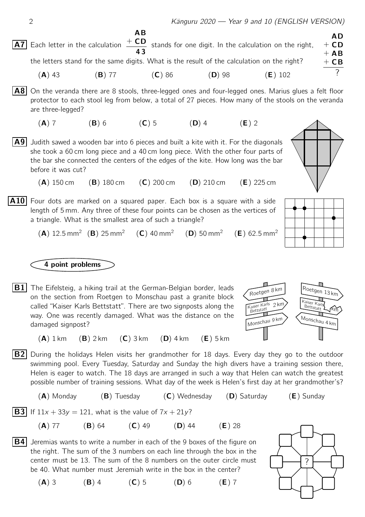$(E)$  62.5 mm<sup>2</sup>

 $\overline{A7}$  Each letter in the calculation  $\overline{+CD}$ AD  $+$  CD  $+$  AB  $+$  CB ? **AB** 4 3 stands for one digit. In the calculation on the right, the letters stand for the same digits. What is the result of the calculation on the right? (**A**) 43 (**B**) 77 (**C**) 86 (**D**) 98 (**E**) 102

**A8** On the veranda there are 8 stools, three-legged ones and four-legged ones. Marius glues a felt floor protector to each stool leg from below, a total of 27 pieces. How many of the stools on the veranda are three-legged?

- (A) 7 (B) 6 (C) 5 (D) 4 (E) 2
- A9 Judith sawed a wooden bar into 6 pieces and built a kite with it. For the diagonals she took a 60 cm long piece and a 40 cm long piece. With the other four parts of the bar she connected the centers of the edges of the kite. How long was the bar before it was cut?
	- (A) 150 cm (B) 180 cm (C) 200 cm (D) 210 cm (E) 225 cm
- $|A10|$  Four dots are marked on a squared paper. Each box is a square with a side length of 5 mm. Any three of these four points can be chosen as the vertices of a triangle. What is the smallest area of such a triangle?
	- $(A)$  12.5 mm<sup>2</sup>  $(B)$  25 mm<sup>2</sup>  $(C)$  40 mm<sup>2</sup>  $(D)$  50 mm<sup>2</sup>

## 4 point problems

**B1** The Eifelsteig, a hiking trail at the German-Belgian border, leads  $\sqrt{\frac{R}{R}\sqrt{R}}$ on the section from Roetgen to Monschau past a granite block called "Kaiser Karls Bettstatt". There are two signposts along the way. One was recently damaged. What was the distance on the damaged signpost?



- $(A)$  1 km  $(B)$  2 km  $(C)$  3 km  $(D)$  4 km  $(E)$  5 km
- $|B2|$  During the holidays Helen visits her grandmother for 18 days. Every day they go to the outdoor swimming pool. Every Tuesday, Saturday and Sunday the high divers have a training session there, Helen is eager to watch. The 18 days are arranged in such a way that Helen can watch the greatest possible number of training sessions. What day of the week is Helen's first day at her grandmother's?

(A) Monday (B) Tuesday (C) Wednesday (D) Saturday (E) Sunday

**B3** If  $11x + 33y = 121$ , what is the value of  $7x + 21y$ ?

- $(A)$  77  $(B)$  64  $(C)$  49  $(D)$  44  $(E)$  28
- **B4** Jeremias wants to write a number in each of the 9 boxes of the figure on the right. The sum of the 3 numbers on each line through the box in the center must be 13. The sum of the 8 numbers on the outer circle must be 40. What number must Jeremiah write in the box in the center?



(A) 3 (B) 4 (C) 5 (D) 6 (E) 7

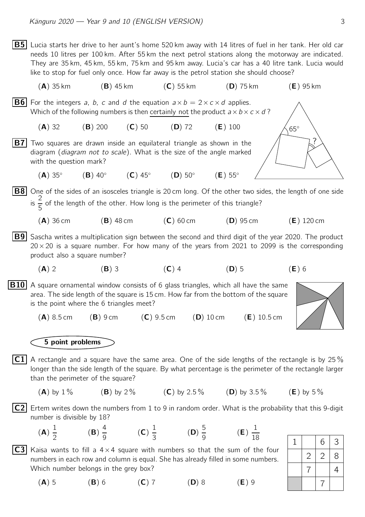$|{\bf B5}|$  Lucia starts her drive to her aunt's home 520 km away with 14 litres of fuel in her tank. Her old car needs 10 litres per 100 km. After 55 km the next petrol stations along the motorway are indicated. They are 35 km, 45 km, 55 km, 75 km and 95 km away. Lucia's car has a 40 litre tank. Lucia would like to stop for fuel only once. How far away is the petrol station she should choose?  $({\sf A})$  35 km  $({\sf B})$  45 km  $({\sf C})$  55 km  $({\sf D})$  75 km  $({\sf E})$  95 km **B6** For the integers a, b, c and d the equation  $a \times b = 2 \times c \times d$  applies. Which of the following numbers is then certainly not the product  $a \times b \times c \times d$ ? (A) 32 (B) 200 (C) 50 (D) 72 (E) 100  $\overline{\mathsf{B7}}$  Two squares are drawn inside an equilateral triangle as shown in the  $\overline{\phantom{a}}$ 65◦ diagram (diagram not to scale). What is the size of the angle marked with the question mark?  $(A)$  35°  $(B)$  40 $\circ$  $(C)$  45°  $(D)$  50°  $(E)$  55°  $\fbox{B8}$  One of the sides of an isosceles triangle is 20 cm long. Of the other two sides, the length of one side is  $\frac{2}{5}$  of the length of the other. How long is the perimeter of this triangle?  $(A)$  36 cm  $(B)$  48 cm  $(C)$  60 cm  $(D)$  95 cm  $(E)$  120 cm  $|B9|$  Sascha writes a multiplication sign between the second and third digit of the year 2020. The product  $20 \times 20$  is a square number. For how many of the years from 2021 to 2099 is the corresponding product also a square number? (A) 2 (B) 3 (C) 4 (D) 5 (E) 6  $|B10|$  A square ornamental window consists of 6 glass triangles, which all have the same area. The side length of the square is 15 cm. How far from the bottom of the square is the point where the 6 triangles meet?  $(A) 8.5 \text{ cm}$   $(B) 9 \text{ cm}$   $(C) 9.5 \text{ cm}$   $(D) 10 \text{ cm}$   $(E) 10.5 \text{ cm}$ 5 point problems  $|C1|$  A rectangle and a square have the same area. One of the side lengths of the rectangle is by 25  $\%$ longer than the side length of the square. By what percentage is the perimeter of the rectangle larger than the perimeter of the square? (A) by 1 % (B) by 2 % (C) by 2.5 % (D) by 3.5 % (E) by 5 %  $|C2|$  Ertem writes down the numbers from 1 to 9 in random order. What is the probability that this 9-digit number is divisible by 18? (A) 1 2 (B) 4  $\frac{1}{9}$  (C) 1  $\frac{1}{3}$  (D) 5  $\frac{9}{9}$  (E) 1 18 **C3** Kaisa wants to fill a  $4 \times 4$  square with numbers so that the sum of the four  $1 | 6 | 3$  $2 | 2 | 8$ 7 | 4 7 numbers in each row and column is equal. She has already filled in some numbers. Which number belongs in the grey box?

(A) 5 (B) 6 (C) 7 (D) 8 (E) 9